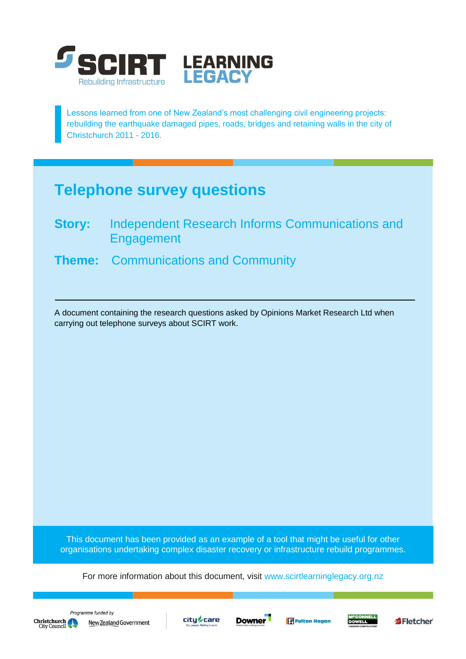

Lessons learned from one of New Zealand's most challenging civil engineering projects: rebuilding the earthquake damaged pipes, roads, bridges and retaining walls in the city of Christchurch 2011 - 2016.

# **Telephone survey questions**

- **Story:** Independent Research Informs Communications and **Engagement**
- **Theme:** Communications and Community

A document containing the research questions asked by Opinions Market Research Ltd when carrying out telephone surveys about SCIRT work.

This document has been provided as an example of a tool that might be useful for other organisations undertaking complex disaster recovery or infrastructure rebuild programmes.

For more information about this document, visit [www.scirtlearninglegacy.org.nz](http://www.scirtlearninglegacy.org.nz/)









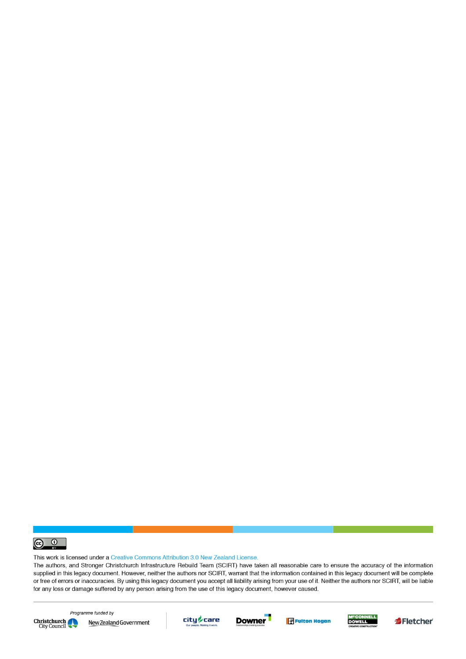

This work is licensed under a Creative Commons Attribution 3.0 New Zealand License.

The authors, and Stronger Christchurch Infrastructure Rebuild Team (SCIRT) have taken all reasonable care to ensure the accuracy of the information supplied in this legacy document. However, neither the authors nor SCIRT, warrant that the information contained in this legacy document will be complete or free of errors or inaccuracies. By using this legacy document you accept all liability arising from your use of it. Neither the authors nor SCIRT, will be liable for any loss or damage suffered by any person arising from the use of this legacy document, however caused.



Programme funded by New Zealand Government









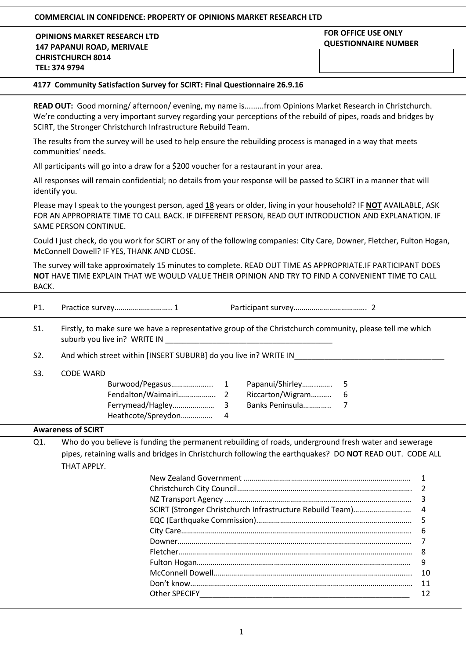#### **COMMERCIAL IN CONFIDENCE: PROPERTY OF OPINIONS MARKET RESEARCH LTD**

**OPINIONS MARKET RESEARCH LTD 147 PAPANUI ROAD, MERIVALE CHRISTCHURCH 8014 TEL: 374 9794**

#### **FOR OFFICE USE ONLY QUESTIONNAIRE NUMBER**

#### **4177 Community Satisfaction Survey for SCIRT: Final Questionnaire 26.9.16**

**READ OUT:** Good morning/ afternoon/ evening, my name is.........from Opinions Market Research in Christchurch. We're conducting a very important survey regarding your perceptions of the rebuild of pipes, roads and bridges by SCIRT, the Stronger Christchurch Infrastructure Rebuild Team.

The results from the survey will be used to help ensure the rebuilding process is managed in a way that meets communities' needs.

All participants will go into a draw for a \$200 voucher for a restaurant in your area.

All responses will remain confidential; no details from your response will be passed to SCIRT in a manner that will identify you.

Please may I speak to the youngest person, aged 18 years or older, living in your household? IF **NOT** AVAILABLE, ASK FOR AN APPROPRIATE TIME TO CALL BACK. IF DIFFERENT PERSON, READ OUT INTRODUCTION AND EXPLANATION. IF SAME PERSON CONTINUE.

Could I just check, do you work for SCIRT or any of the following companies: City Care, Downer, Fletcher, Fulton Hogan, McConnell Dowell? IF YES, THANK AND CLOSE.

The survey will take approximately 15 minutes to complete. READ OUT TIME AS APPROPRIATE.IF PARTICIPANT DOES **NOT** HAVE TIME EXPLAIN THAT WE WOULD VALUE THEIR OPINION AND TRY TO FIND A CONVENIENT TIME TO CALL BACK.

S1. Firstly, to make sure we have a representative group of the Christchurch community, please tell me which suburb you live in? WRITE IN

S2. And which street within [INSERT SUBURB] do you live in? WRITE IN

S3. CODE WARD

|                    | Papanui/Shirley  | - 5                      |
|--------------------|------------------|--------------------------|
|                    | Riccarton/Wigram | -6                       |
|                    | Banks Peninsula  | $\overline{\phantom{a}}$ |
| Heathcote/Spreydon |                  |                          |

#### **Awareness of SCIRT**

Q1. Who do you believe is funding the permanent rebuilding of roads, underground fresh water and sewerage pipes, retaining walls and bridges in Christchurch following the earthquakes? DO **NOT** READ OUT. CODE ALL THAT APPLY.

|                                  | -6 |
|----------------------------------|----|
|                                  |    |
|                                  | 8  |
|                                  | 9  |
|                                  | 10 |
|                                  | 11 |
| Other SPECIFY North Section 1997 | 12 |
|                                  |    |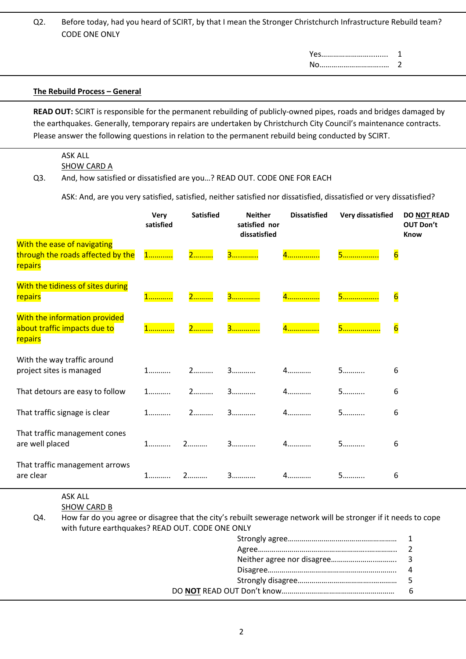Q2. Before today, had you heard of SCIRT, by that I mean the Stronger Christchurch Infrastructure Rebuild team? CODE ONE ONLY

Yes……………………......... 1

No…………………………..… 2

#### **The Rebuild Process – General**

**READ OUT:** SCIRT is responsible for the permanent rebuilding of publicly-owned pipes, roads and bridges damaged by the earthquakes. Generally, temporary repairs are undertaken by Christchurch City Council's maintenance contracts. Please answer the following questions in relation to the permanent rebuild being conducted by SCIRT.

#### ASK ALL **SHOW CARD A**

#### Q3. And, how satisfied or dissatisfied are you…? READ OUT. CODE ONE FOR EACH

ASK: And, are you very satisfied, satisfied, neither satisfied nor dissatisfied, dissatisfied or very dissatisfied?

|                                                                             | Very<br>satisfied | <b>Satisfied</b>  | <b>Neither</b><br>satisfied nor<br>dissatisfied | <b>Dissatisfied</b> | Very dissatisfied | <b>DO NOT READ</b><br><b>OUT Don't</b><br><b>Know</b> |
|-----------------------------------------------------------------------------|-------------------|-------------------|-------------------------------------------------|---------------------|-------------------|-------------------------------------------------------|
| With the ease of navigating<br>through the roads affected by the<br>repairs | 1                 | 2                 | 3                                               | 4                   | 5                 | $\overline{6}$                                        |
| With the tidiness of sites during<br>repairs                                | <u>1</u>          | 2. <mark>.</mark> |                                                 | 4                   | 5                 | $6\overline{6}$                                       |
| With the information provided<br>about traffic impacts due to<br>repairs    | 1                 | 2. <mark>.</mark> | <mark>3</mark>                                  | 4                   | 5                 | $\overline{6}$                                        |
| With the way traffic around<br>project sites is managed                     | 1                 | $2$               |                                                 | $4$                 | 5                 | 6                                                     |
| That detours are easy to follow                                             | $1$               | $2$               | 3                                               | 4                   | 5                 | 6                                                     |
| That traffic signage is clear                                               | $1$               | 2                 | 3                                               | 4                   | 5                 | 6                                                     |
| That traffic management cones<br>are well placed                            | $1$               | $2$               | 3                                               | $4$                 | 5                 | 6                                                     |
| That traffic management arrows<br>are clear                                 | $1$               | $2$               | $3$                                             | $4$                 | 5                 | 6                                                     |

# ASK ALL

SHOW CARD B

Q4. How far do you agree or disagree that the city's rebuilt sewerage network will be stronger if it needs to cope with future earthquakes? READ OUT. CODE ONE ONLY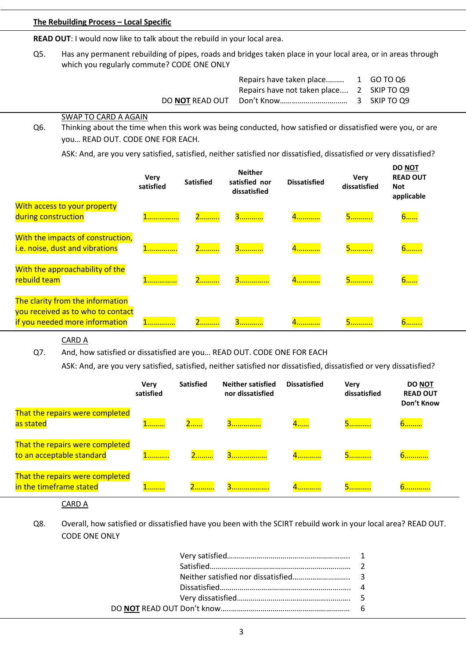#### **The Rebuilding Process – Local Specific**

**READ OUT**: I would now like to talk about the rebuild in your local area.

Q5. Has any permanent rebuilding of pipes, roads and bridges taken place in your local area, or in areas through which you regularly commute? CODE ONE ONLY

| Repairs have taken place 1 GO TO Q6       |  |
|-------------------------------------------|--|
| Repairs have not taken place 2 SKIP TO Q9 |  |
|                                           |  |

#### SWAP TO CARD A AGAIN

Q6. Thinking about the time when this work was being conducted, how satisfied or dissatisfied were you, or are you… READ OUT. CODE ONE FOR EACH.

ASK: And, are you very satisfied, satisfied, neither satisfied nor dissatisfied, dissatisfied or very dissatisfied?

|                                                                                                         | <b>Very</b><br>satisfied | <b>Satisfied</b> | <b>Neither</b><br>satisfied nor<br>dissatisfied | <b>Dissatisfied</b> | Very<br>dissatisfied | <b>DO NOT</b><br><b>READ OUT</b><br><b>Not</b><br>applicable |
|---------------------------------------------------------------------------------------------------------|--------------------------|------------------|-------------------------------------------------|---------------------|----------------------|--------------------------------------------------------------|
| With access to your property<br>during construction                                                     |                          | 2                | 3                                               | 4.                  | <u>5.</u>            | 6                                                            |
| With the impacts of construction,<br>i.e. noise, dust and vibrations                                    |                          | 2                | 3                                               | 4.                  | <u>5.</u>            | <u>6.</u>                                                    |
| With the approachability of the<br>rebuild team                                                         |                          | 2                | 3                                               | 4.                  | 5.                   | 6                                                            |
| The clarity from the information<br>you received as to who to contact<br>if you needed more information |                          | . <b>.</b>       |                                                 | 4. <mark>.</mark>   | <b></b> .            | <b>b</b>                                                     |

CARD A

Q7. And, how satisfied or dissatisfied are you… READ OUT. CODE ONE FOR EACH

ASK: And, are you very satisfied, satisfied, neither satisfied nor dissatisfied, dissatisfied or very dissatisfied?

|                                                              | <b>Very</b><br>satisfied | <b>Satisfied</b> | <b>Neither satisfied</b><br>nor dissatisfied | <b>Dissatisfied</b> | <b>Very</b><br>dissatisfied | <b>DO NOT</b><br><b>READ OUT</b><br>Don't Know |
|--------------------------------------------------------------|--------------------------|------------------|----------------------------------------------|---------------------|-----------------------------|------------------------------------------------|
| That the repairs were completed<br>as stated                 |                          | $2$              |                                              | 4                   | 5. 7                        | 6. <i>. .</i>                                  |
| That the repairs were completed<br>to an acceptable standard | .                        |                  |                                              | 4<br><mark></mark>  | .                           | <del>.</del>                                   |
| That the repairs were completed<br>in the timeframe stated   | .                        |                  | .                                            |                     | .                           | .                                              |

CARD A

Q8. Overall, how satisfied or dissatisfied have you been with the SCIRT rebuild work in your local area? READ OUT. CODE ONE ONLY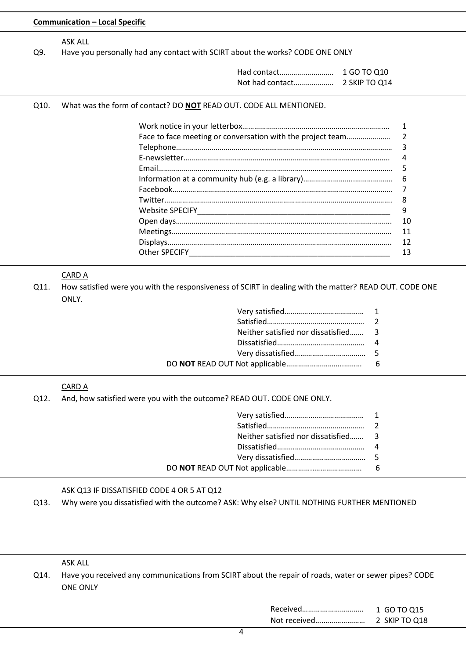| Q9.  | <b>ASK ALL</b><br>Have you personally had any contact with SCIRT about the works? CODE ONE ONLY                         |    |
|------|-------------------------------------------------------------------------------------------------------------------------|----|
|      |                                                                                                                         |    |
| Q10. | What was the form of contact? DO NOT READ OUT. CODE ALL MENTIONED.                                                      |    |
|      |                                                                                                                         | 1  |
|      | Face to face meeting or conversation with the project team                                                              | 2  |
|      |                                                                                                                         | 3  |
|      |                                                                                                                         | 4  |
|      |                                                                                                                         | 5  |
|      |                                                                                                                         | 6  |
|      |                                                                                                                         | 7  |
|      |                                                                                                                         | 8  |
|      |                                                                                                                         | 9  |
|      |                                                                                                                         | 10 |
|      |                                                                                                                         | 11 |
|      |                                                                                                                         | 12 |
|      |                                                                                                                         | 13 |
| Q11. | <b>CARD A</b><br>How satisfied were you with the responsiveness of SCIRT in dealing with the matter? READ OUT. CODE ONE |    |
|      | ONLY.<br>1<br>2<br>Neither satisfied nor dissatisfied<br>3                                                              |    |
|      | 5<br>6                                                                                                                  |    |
| Q12. | <b>CARD A</b><br>And, how satisfied were you with the outcome? READ OUT. CODE ONE ONLY.<br>1                            |    |
|      | 2                                                                                                                       |    |
|      | Neither satisfied nor dissatisfied<br>3                                                                                 |    |
|      | 4                                                                                                                       |    |
|      | 5<br>6                                                                                                                  |    |

ASK ALL

Q14. Have you received any communications from SCIRT about the repair of roads, water or sewer pipes? CODE ONE ONLY

| Received     | 1 GO TO 015   |
|--------------|---------------|
| Not received | 2 SKIP TO 018 |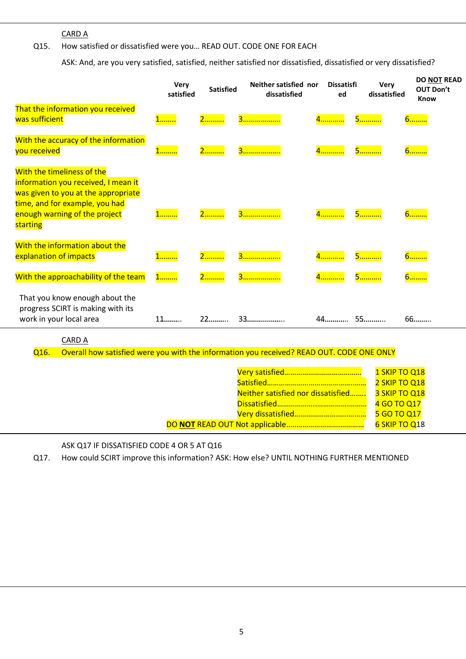CARD A

## Q15. How satisfied or dissatisfied were you… READ OUT. CODE ONE FOR EACH

ASK: And, are you very satisfied, satisfied, neither satisfied nor dissatisfied, dissatisfied or very dissatisfied?

|                                                                                                                                                                                         | <b>Very</b><br>satisfied | <b>Satisfied</b>  | Neither satisfied nor<br>dissatisfied | <b>Dissatisfi</b><br>ed | <b>Very</b><br>dissatisfied | DO NOT READ<br><b>OUT Don't</b><br><b>Know</b> |
|-----------------------------------------------------------------------------------------------------------------------------------------------------------------------------------------|--------------------------|-------------------|---------------------------------------|-------------------------|-----------------------------|------------------------------------------------|
| That the information you received<br>was sufficient                                                                                                                                     | 1                        | 2. <mark>.</mark> | 3. <mark>.</mark>                     | 4. <mark>.</mark>       | 5                           | <u>6.</u>                                      |
| With the accuracy of the information<br>you received                                                                                                                                    | 1 <mark>.</mark>         | 2. <mark>.</mark> |                                       | 4. <mark>.</mark>       | 5                           | <mark>6</mark>                                 |
| With the timeliness of the<br>information you received, I mean it<br>was given to you at the appropriate<br>time, and for example, you had<br>enough warning of the project<br>starting | 1. <b>.</b>              | 2. <mark>.</mark> | 3. <mark>.</mark>                     | 4                       | <u>5.</u>                   | <u>6.</u>                                      |
| With the information about the<br>explanation of impacts                                                                                                                                | 1                        | 2. <mark>.</mark> | 3                                     | 4                       | 5                           | 6 <mark>.</mark>                               |
| With the approachability of the team                                                                                                                                                    | 1                        | 2 <mark>.</mark>  |                                       | 4                       | 5                           | <u>6.</u>                                      |
| That you know enough about the<br>progress SCIRT is making with its<br>work in your local area                                                                                          | 11.                      | $22$              | 33.                                   | $44$                    | 55                          | $66$                                           |

CARD A

Q16. Overall how satisfied were you with the information you received? READ OUT. CODE ONE ONLY

|                                    | 1 SKIP TO Q18 |
|------------------------------------|---------------|
|                                    |               |
|                                    | 2 SKIP TO Q18 |
| Neither satisfied nor dissatisfied | 3 SKIP TO Q18 |
|                                    | 4 GO TO Q17   |
|                                    | 5 GO TO Q17   |
|                                    | 6 SKIP TO Q18 |

ASK Q17 IF DISSATISFIED CODE 4 OR 5 AT Q16

Q17. How could SCIRT improve this information? ASK: How else? UNTIL NOTHING FURTHER MENTIONED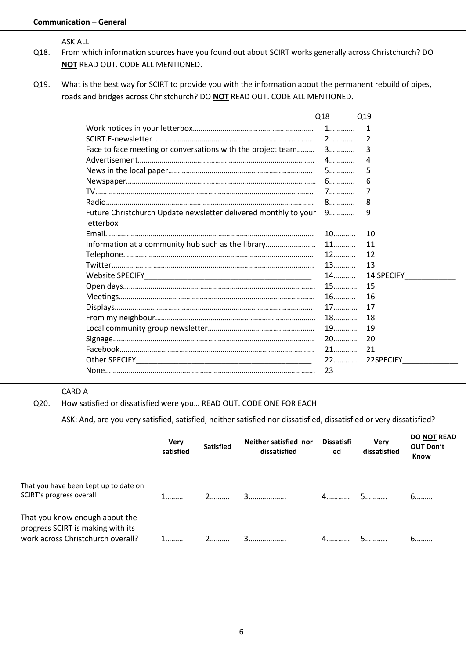#### **Communication – General**

ASK ALL

- Q18. From which information sources have you found out about SCIRT works generally across Christchurch? DO **NOT** READ OUT. CODE ALL MENTIONED.
- Q19. What is the best way for SCIRT to provide you with the information about the permanent rebuild of pipes, roads and bridges across Christchurch? DO **NOT** READ OUT. CODE ALL MENTIONED.

|                                                                 | Q18  | Q19                               |
|-----------------------------------------------------------------|------|-----------------------------------|
|                                                                 |      | 1                                 |
|                                                                 |      |                                   |
|                                                                 |      | 3                                 |
|                                                                 |      | 4                                 |
|                                                                 |      | 5                                 |
|                                                                 |      | 6                                 |
|                                                                 |      | 7                                 |
|                                                                 |      | 8                                 |
| Future Christchurch Update newsletter delivered monthly to your | $9$  | 9                                 |
| letterbox                                                       |      |                                   |
|                                                                 | $10$ | 10                                |
| Information at a community hub such as the library              | $11$ | 11                                |
|                                                                 | $12$ | 12                                |
|                                                                 | $13$ | 13                                |
|                                                                 | 14   | 14 SPECIFY <b>SAMPLE SPECIFY</b>  |
|                                                                 | $15$ | 15                                |
|                                                                 | $16$ | 16                                |
|                                                                 |      | 17                                |
|                                                                 |      | 18                                |
|                                                                 | 19.  | 19                                |
|                                                                 | $20$ | 20                                |
|                                                                 | $21$ | 21                                |
|                                                                 | 22   | 22SPECIFY And All Annual Students |
|                                                                 | 23   |                                   |

#### CARD A

Q20. How satisfied or dissatisfied were you… READ OUT. CODE ONE FOR EACH

ASK: And, are you very satisfied, satisfied, neither satisfied nor dissatisfied, dissatisfied or very dissatisfied?

|                                                                                                          | <b>Very</b><br>satisfied | <b>Satisfied</b> | Neither satisfied nor<br>dissatisfied | <b>Dissatisfi</b><br>ed | <b>Very</b><br>dissatisfied | <b>DO NOT READ</b><br><b>OUT Don't</b><br><b>Know</b> |
|----------------------------------------------------------------------------------------------------------|--------------------------|------------------|---------------------------------------|-------------------------|-----------------------------|-------------------------------------------------------|
| That you have been kept up to date on<br>SCIRT's progress overall                                        |                          | 2.               |                                       |                         |                             | 6.                                                    |
| That you know enough about the<br>progress SCIRT is making with its<br>work across Christchurch overall? |                          | 2.               | 3                                     |                         |                             | 6.                                                    |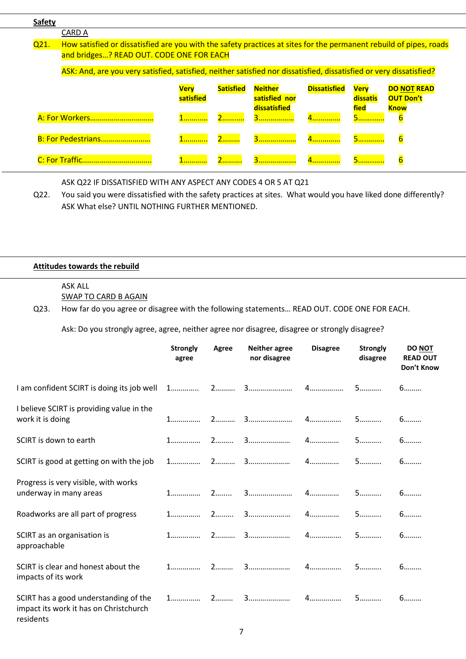| <b>Safety</b> |                                                                                                                     |             |                  |                               |                     |                  |                                 |
|---------------|---------------------------------------------------------------------------------------------------------------------|-------------|------------------|-------------------------------|---------------------|------------------|---------------------------------|
|               | <b>CARD A</b>                                                                                                       |             |                  |                               |                     |                  |                                 |
| Q21.          | How satisfied or dissatisfied are you with the safety practices at sites for the permanent rebuild of pipes, roads  |             |                  |                               |                     |                  |                                 |
|               | and bridges? READ OUT. CODE ONE FOR EACH                                                                            |             |                  |                               |                     |                  |                                 |
|               | ASK: And, are you very satisfied, satisfied, neither satisfied nor dissatisfied, dissatisfied or very dissatisfied? |             |                  |                               |                     |                  |                                 |
|               |                                                                                                                     | <b>Verv</b> | <b>Satisfied</b> | <b>Neither</b>                | <b>Dissatisfied</b> | <b>Verv</b>      | <b>DO NOT READ</b>              |
|               |                                                                                                                     | satisfied   |                  | satisfied nor<br>dissatisfied |                     | dissatis<br>fied | <b>OUT Don't</b><br><b>Know</b> |
|               |                                                                                                                     |             |                  | 3                             |                     | 5. <i>.</i> .    | b                               |
|               | B: For Pedestrians                                                                                                  |             | 2                |                               |                     | 5                | $\overline{6}$                  |
|               |                                                                                                                     |             |                  | 3                             | 4. <b>.</b>         |                  | $\overline{6}$                  |

ASK Q22 IF DISSATISFIED WITH ANY ASPECT ANY CODES 4 OR 5 AT Q21

Q22. You said you were dissatisfied with the safety practices at sites. What would you have liked done differently? ASK What else? UNTIL NOTHING FURTHER MENTIONED.

#### **Attitudes towards the rebuild**

#### ASK ALL SWAP TO CARD B AGAIN

Q23. How far do you agree or disagree with the following statements… READ OUT. CODE ONE FOR EACH.

Ask: Do you strongly agree, agree, neither agree nor disagree, disagree or strongly disagree?

|                                                                                              | <b>Strongly</b><br>agree | Agree | <b>Neither agree</b><br>nor disagree | <b>Disagree</b> | <b>Strongly</b><br>disagree | <b>DO NOT</b><br><b>READ OUT</b><br>Don't Know |
|----------------------------------------------------------------------------------------------|--------------------------|-------|--------------------------------------|-----------------|-----------------------------|------------------------------------------------|
| I am confident SCIRT is doing its job well                                                   |                          |       |                                      |                 |                             | 6                                              |
| I believe SCIRT is providing value in the<br>work it is doing                                |                          |       |                                      |                 | 5                           | 6                                              |
| SCIRT is down to earth                                                                       |                          |       |                                      |                 | 5                           | 6                                              |
| SCIRT is good at getting on with the job                                                     |                          |       |                                      |                 | 5                           | 6                                              |
| Progress is very visible, with works<br>underway in many areas                               |                          |       |                                      |                 | 5                           | 6                                              |
| Roadworks are all part of progress                                                           |                          |       |                                      |                 |                             | 6                                              |
| SCIRT as an organisation is<br>approachable                                                  |                          |       |                                      |                 |                             | $6$                                            |
| SCIRT is clear and honest about the<br>impacts of its work                                   |                          |       |                                      |                 |                             | 6                                              |
| SCIRT has a good understanding of the<br>impact its work it has on Christchurch<br>residents |                          |       |                                      |                 | 5                           | 6                                              |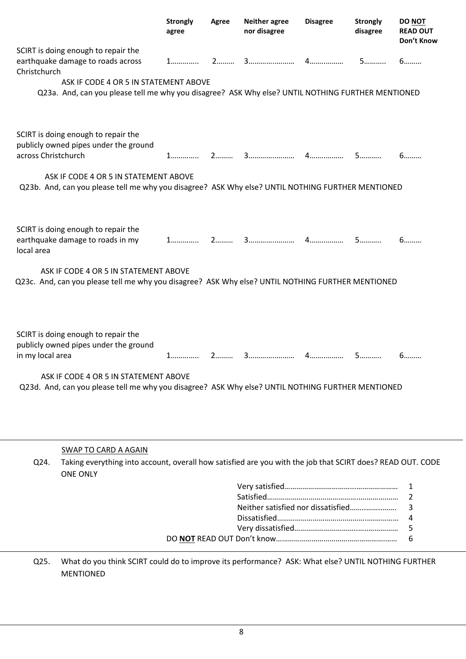|                     |                                                                                                                                            | <b>Strongly</b><br>agree | Agree | <b>Neither agree</b><br>nor disagree | <b>Disagree</b> | <b>Strongly</b><br>disagree | <b>DO NOT</b><br><b>READ OUT</b><br>Don't Know |
|---------------------|--------------------------------------------------------------------------------------------------------------------------------------------|--------------------------|-------|--------------------------------------|-----------------|-----------------------------|------------------------------------------------|
| Christchurch        | SCIRT is doing enough to repair the<br>earthquake damage to roads across                                                                   | 1.                       |       |                                      |                 | 5.                          | 6                                              |
|                     | ASK IF CODE 4 OR 5 IN STATEMENT ABOVE<br>Q23a. And, can you please tell me why you disagree? ASK Why else? UNTIL NOTHING FURTHER MENTIONED |                          |       |                                      |                 |                             |                                                |
| across Christchurch | SCIRT is doing enough to repair the<br>publicly owned pipes under the ground                                                               |                          |       |                                      |                 | 5.                          | 6                                              |
|                     | ASK IF CODE 4 OR 5 IN STATEMENT ABOVE<br>Q23b. And, can you please tell me why you disagree? ASK Why else? UNTIL NOTHING FURTHER MENTIONED |                          |       |                                      |                 |                             |                                                |
| local area          | SCIRT is doing enough to repair the<br>earthquake damage to roads in my                                                                    |                          |       |                                      |                 | 5                           | 6                                              |
|                     | ASK IF CODE 4 OR 5 IN STATEMENT ABOVE<br>Q23c. And, can you please tell me why you disagree? ASK Why else? UNTIL NOTHING FURTHER MENTIONED |                          |       |                                      |                 |                             |                                                |
| in my local area    | SCIRT is doing enough to repair the<br>publicly owned pipes under the ground                                                               | 1.                       |       |                                      |                 | 5.                          | 6.                                             |
|                     | ASK IF CODE 4 OR 5 IN STATEMENT ABOVE<br>Q23d. And, can you please tell me why you disagree? ASK Why else? UNTIL NOTHING FURTHER MENTIONED |                          |       |                                      |                 |                             |                                                |
| Q24.                | <b>SWAP TO CARD A AGAIN</b><br>Taking everything into account, overall how satisfied are you with the job that SCIRT does? READ OUT. CODE  |                          |       |                                      |                 |                             |                                                |
|                     | <b>ONE ONLY</b>                                                                                                                            |                          |       |                                      |                 |                             | 1                                              |
|                     |                                                                                                                                            |                          |       |                                      |                 |                             | 2                                              |
|                     |                                                                                                                                            |                          |       | Neither satisfied nor dissatisfied   |                 |                             | 3                                              |
|                     |                                                                                                                                            |                          |       |                                      |                 |                             | 4                                              |
|                     |                                                                                                                                            |                          |       |                                      |                 |                             | 5<br>6                                         |
| Q25.                | What do you think SCIRT could do to improve its performance? ASK: What else? UNTIL NOTHING FURTHER                                         |                          |       |                                      |                 |                             |                                                |

MENTIONED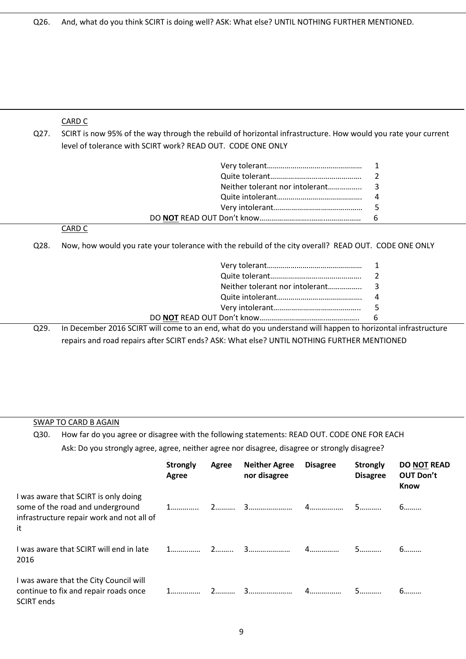# CARD C

Q27. SCIRT is now 95% of the way through the rebuild of horizontal infrastructure. How would you rate your current level of tolerance with SCIRT work? READ OUT. CODE ONE ONLY

#### CARD C

Q28. Now, how would you rate your tolerance with the rebuild of the city overall? READ OUT. CODE ONE ONLY

| ם רר | In December 2016 SCIRT will come to an end, what do you understand will bannen to borizou |  |
|------|-------------------------------------------------------------------------------------------|--|

Q29. In December 2016 SCIRT will come to an end, what do you understand will happen to horizontal infrastructure repairs and road repairs after SCIRT ends? ASK: What else? UNTIL NOTHING FURTHER MENTIONED

## SWAP TO CARD B AGAIN

Q30. How far do you agree or disagree with the following statements: READ OUT. CODE ONE FOR EACH Ask: Do you strongly agree, agree, neither agree nor disagree, disagree or strongly disagree?

|                                                                                                                             | <b>Strongly</b><br>Agree | Agree | <b>Neither Agree</b><br>nor disagree | <b>Disagree</b> | <b>Strongly</b><br><b>Disagree</b> | <b>DO NOT READ</b><br><b>OUT Don't</b><br><b>Know</b> |
|-----------------------------------------------------------------------------------------------------------------------------|--------------------------|-------|--------------------------------------|-----------------|------------------------------------|-------------------------------------------------------|
| I was aware that SCIRT is only doing<br>some of the road and underground<br>infrastructure repair work and not all of<br>it |                          |       |                                      |                 |                                    | 6.                                                    |
| I was aware that SCIRT will end in late<br>2016                                                                             |                          |       |                                      |                 |                                    |                                                       |
| I was aware that the City Council will<br>continue to fix and repair roads once<br><b>SCIRT</b> ends                        |                          |       |                                      |                 |                                    |                                                       |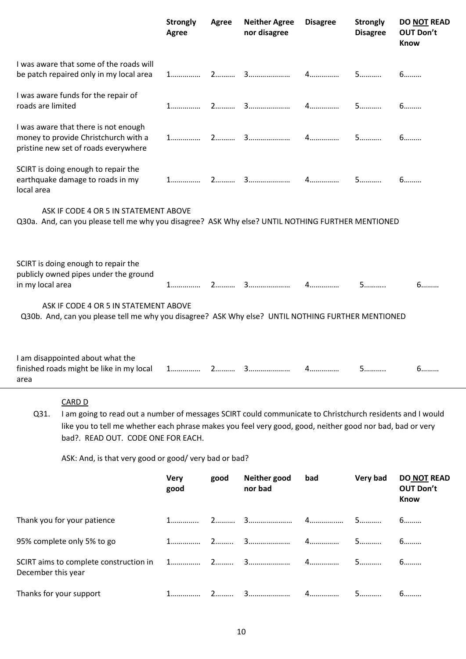|                                                                                                                                            |                                                                                                                                                                                                                                                                               | <b>Strongly</b><br>Agree | Agree | <b>Neither Agree</b><br>nor disagree | <b>Disagree</b> | <b>Strongly</b><br><b>Disagree</b> | <b>DO NOT READ</b><br><b>OUT Don't</b><br><b>Know</b> |  |  |  |
|--------------------------------------------------------------------------------------------------------------------------------------------|-------------------------------------------------------------------------------------------------------------------------------------------------------------------------------------------------------------------------------------------------------------------------------|--------------------------|-------|--------------------------------------|-----------------|------------------------------------|-------------------------------------------------------|--|--|--|
|                                                                                                                                            | I was aware that some of the roads will<br>be patch repaired only in my local area                                                                                                                                                                                            |                          |       |                                      |                 |                                    | 6                                                     |  |  |  |
| roads are limited                                                                                                                          | I was aware funds for the repair of                                                                                                                                                                                                                                           |                          |       |                                      |                 | 5.                                 | 6                                                     |  |  |  |
|                                                                                                                                            | I was aware that there is not enough<br>money to provide Christchurch with a<br>pristine new set of roads everywhere                                                                                                                                                          |                          |       |                                      |                 |                                    | 6.                                                    |  |  |  |
| local area                                                                                                                                 | SCIRT is doing enough to repair the<br>earthquake damage to roads in my                                                                                                                                                                                                       |                          |       |                                      |                 |                                    | 6                                                     |  |  |  |
| ASK IF CODE 4 OR 5 IN STATEMENT ABOVE<br>Q30a. And, can you please tell me why you disagree? ASK Why else? UNTIL NOTHING FURTHER MENTIONED |                                                                                                                                                                                                                                                                               |                          |       |                                      |                 |                                    |                                                       |  |  |  |
| in my local area                                                                                                                           | SCIRT is doing enough to repair the<br>publicly owned pipes under the ground                                                                                                                                                                                                  |                          |       |                                      | $4$             | 5                                  | 6                                                     |  |  |  |
| ASK IF CODE 4 OR 5 IN STATEMENT ABOVE<br>Q30b. And, can you please tell me why you disagree? ASK Why else? UNTIL NOTHING FURTHER MENTIONED |                                                                                                                                                                                                                                                                               |                          |       |                                      |                 |                                    |                                                       |  |  |  |
| area                                                                                                                                       | I am disappointed about what the<br>finished roads might be like in my local                                                                                                                                                                                                  |                          |       |                                      | 4.              | 5.                                 | 6.                                                    |  |  |  |
| Q31.                                                                                                                                       | <b>CARD D</b><br>I am going to read out a number of messages SCIRT could communicate to Christchurch residents and I would<br>like you to tell me whether each phrase makes you feel very good, good, neither good nor bad, bad or very<br>bad?. READ OUT. CODE ONE FOR EACH. |                          |       |                                      |                 |                                    |                                                       |  |  |  |
|                                                                                                                                            | ASK: And, is that very good or good/very bad or bad?                                                                                                                                                                                                                          |                          |       |                                      |                 |                                    |                                                       |  |  |  |
|                                                                                                                                            |                                                                                                                                                                                                                                                                               | <b>Very</b>              | good  | Neither good                         | bad             | Very bad                           | <b>DO NOT READ</b>                                    |  |  |  |

|                             | good | nor bad |    | <b>OUT Don't</b><br><b>Know</b> |
|-----------------------------|------|---------|----|---------------------------------|
| Thank you for your patience |      |         |    |                                 |
| 95% complete only 5% to go  |      |         |    | 6.                              |
| December this year          |      |         |    | 6.                              |
| Thanks for your support     |      |         | 5. |                                 |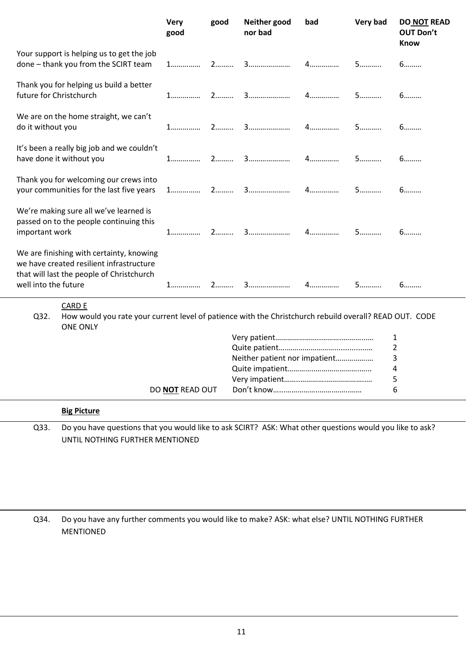|                         |                                                                                                                                             | <b>Very</b><br>good | good | Neither good<br>nor bad       | bad | Very bad | <b>DO NOT READ</b><br><b>OUT Don't</b><br><b>Know</b> |
|-------------------------|---------------------------------------------------------------------------------------------------------------------------------------------|---------------------|------|-------------------------------|-----|----------|-------------------------------------------------------|
|                         | Your support is helping us to get the job<br>done - thank you from the SCIRT team                                                           | $1$                 | $2$  |                               | 4.  | 5        | 6                                                     |
| future for Christchurch | Thank you for helping us build a better                                                                                                     |                     |      | 2  3                          |     | 5        | 6                                                     |
| do it without you       | We are on the home straight, we can't                                                                                                       | 1                   |      |                               |     | 5        | 6                                                     |
|                         | It's been a really big job and we couldn't<br>have done it without you                                                                      | 1.                  | $2$  |                               | 4.  | 5        | 6                                                     |
|                         | Thank you for welcoming our crews into<br>your communities for the last five years                                                          |                     |      |                               |     | 5        | 6                                                     |
| important work          | We're making sure all we've learned is<br>passed on to the people continuing this                                                           |                     |      |                               | $4$ | 5        | 6                                                     |
| well into the future    | We are finishing with certainty, knowing<br>we have created resilient infrastructure<br>that will last the people of Christchurch           |                     | 2.   |                               | $4$ | 5        | 6                                                     |
| Q32.                    | <b>CARD E</b><br>How would you rate your current level of patience with the Christchurch rebuild overall? READ OUT. CODE<br><b>ONE ONLY</b> |                     |      |                               |     |          |                                                       |
|                         |                                                                                                                                             |                     |      |                               |     |          | 1                                                     |
|                         |                                                                                                                                             |                     |      |                               |     |          | $\overline{2}$                                        |
|                         |                                                                                                                                             |                     |      | Neither patient nor impatient |     |          | 3                                                     |
|                         |                                                                                                                                             |                     |      |                               |     |          | 4                                                     |
|                         |                                                                                                                                             |                     |      |                               |     |          | 5                                                     |
|                         |                                                                                                                                             | DO NOT READ OUT     |      |                               |     |          | 6                                                     |
|                         | <b>Big Picture</b>                                                                                                                          |                     |      |                               |     |          |                                                       |
| Q33.                    | Do you have questions that you would like to ask SCIRT? ASK: What other questions would you like to ask?<br>UNTIL NOTHING FURTHER MENTIONED |                     |      |                               |     |          |                                                       |

Q34. Do you have any further comments you would like to make? ASK: what else? UNTIL NOTHING FURTHER MENTIONED